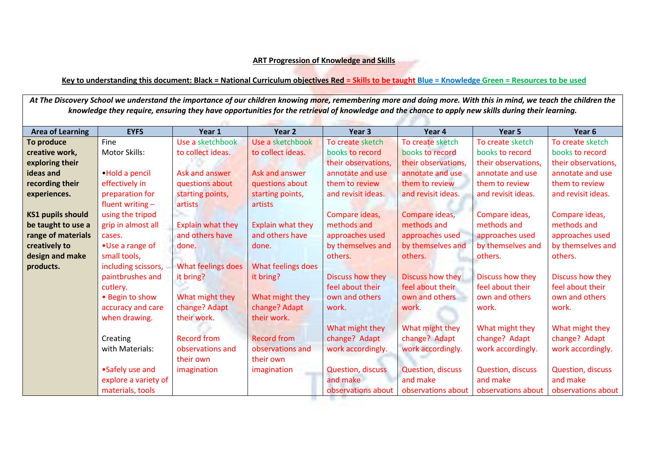## **ART Progression of Knowledge and Skills**

## **Key to understanding this document: Black = National Curriculum objectives Red = Skills to be taught Blue = Knowledge Green = Resources to be used**

At The Discovery School we understand the importance of our children knowing more, remembering more and doing more. With this in mind, we teach the children the *knowledge they require, ensuring they have opportunities for the retrieval of knowledge and the chance to apply new skills during their learning.* the community of the community of the

| <b>Area of Learning</b>  | <b>EYFS</b>          | Year 1                   | Year 2             | Year <sub>3</sub>        | Year 4                   | Year 5                   | Year <sub>6</sub>        |
|--------------------------|----------------------|--------------------------|--------------------|--------------------------|--------------------------|--------------------------|--------------------------|
| To produce               | Fine                 | Use a sketchbook         | Use a sketchbook   | To create sketch         | To create sketch         | To create sketch         | To create sketch         |
| creative work,           | Motor Skills:        | to collect ideas.        | to collect ideas.  | books to record          | books to record          | books to record          | books to record          |
| exploring their          |                      |                          |                    | their observations,      | their observations,      | their observations,      | their observations,      |
| ideas and                | . Hold a pencil      | Ask and answer           | Ask and answer     | annotate and use         | annotate and use         | annotate and use         | annotate and use         |
| recording their          | effectively in       | questions about          | questions about    | them to review           | them to review           | them to review           | them to review           |
| experiences.             | preparation for      | starting points,         | starting points,   | and revisit ideas.       | and revisit ideas.       | and revisit ideas.       | and revisit ideas.       |
|                          | fluent writing $-$   | artists                  | artists            |                          |                          |                          |                          |
| <b>KS1 pupils should</b> | using the tripod     |                          |                    | Compare ideas,           | Compare ideas,           | Compare ideas,           | Compare ideas,           |
| be taught to use a       | grip in almost all   | <b>Explain what they</b> | Explain what they  | methods and              | methods and              | methods and              | methods and              |
| range of materials       | cases.               | and others have          | and others have    | approaches used          | approaches used          | approaches used          | approaches used          |
| creatively to            | • Use a range of     | done.                    | done.              | by themselves and        | by themselves and        | by themselves and        | by themselves and        |
| design and make          | small tools,         |                          |                    | others.                  | others.                  | others.                  | others.                  |
| products.                | including scissors,  | What feelings does       | What feelings does |                          |                          |                          |                          |
|                          | paintbrushes and     | it bring?                | it bring?          | Discuss how they         | Discuss how they         | Discuss how they         | Discuss how they         |
|                          | cutlery.             |                          |                    | feel about their         | feel about their         | feel about their         | feel about their         |
|                          | • Begin to show      | What might they          | What might they    | own and others           | own and others           | own and others           | own and others           |
|                          | accuracy and care    | change? Adapt            | change? Adapt      | work.                    | work.                    | work.                    | work.                    |
|                          | when drawing.        | their work.              | their work.        |                          |                          |                          |                          |
|                          |                      |                          |                    | What might they          | What might they          | What might they          | What might they          |
|                          | Creating             | <b>Record from</b>       | <b>Record from</b> | change? Adapt            | change? Adapt            | change? Adapt            | change? Adapt            |
|                          | with Materials:      | observations and         | observations and   | work accordingly.        | work accordingly.        | work accordingly.        | work accordingly.        |
|                          |                      | their own                | their own          |                          |                          |                          |                          |
|                          | •Safely use and      | imagination              | imagination        | <b>Question, discuss</b> | <b>Question, discuss</b> | <b>Question, discuss</b> | <b>Question, discuss</b> |
|                          | explore a variety of |                          |                    | and make                 | and make                 | and make                 | and make                 |
|                          | materials, tools     |                          |                    | observations about       | observations about       | observations about       | observations about       |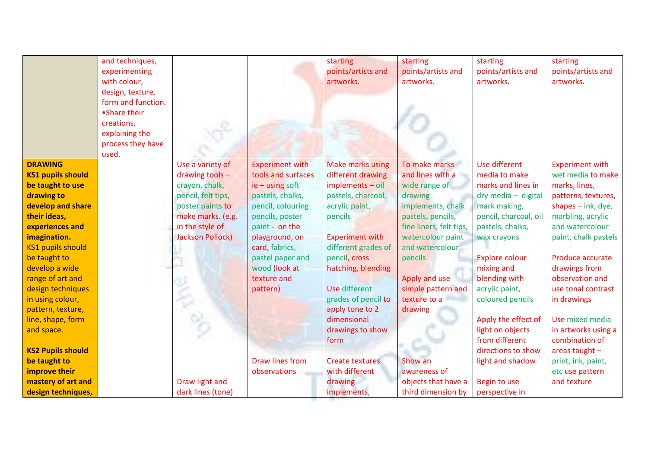|                          | and techniques,    |                         |                        | starting                | starting                | starting                | starting               |
|--------------------------|--------------------|-------------------------|------------------------|-------------------------|-------------------------|-------------------------|------------------------|
|                          | experimenting      |                         |                        | points/artists and      | points/artists and      | points/artists and      | points/artists and     |
|                          | with colour,       |                         |                        | artworks.               | artworks.               | artworks.               | artworks.              |
|                          | design, texture,   |                         |                        |                         |                         |                         |                        |
|                          | form and function. |                         |                        |                         |                         |                         |                        |
|                          | •Share their       |                         |                        |                         |                         |                         |                        |
|                          | creations,         |                         |                        |                         |                         |                         |                        |
|                          | explaining the     |                         |                        |                         |                         |                         |                        |
|                          | process they have  |                         |                        |                         |                         |                         |                        |
|                          | used.              |                         |                        |                         |                         |                         |                        |
| <b>DRAWING</b>           |                    | Use a variety of        | <b>Experiment with</b> | <b>Make marks using</b> | To make marks           | Use different           | <b>Experiment with</b> |
| <b>KS1 pupils should</b> |                    | drawing tools $-$       | tools and surfaces     | different drawing       | and lines with a        | media to make           | wet media to make      |
| be taught to use         |                    | crayon, chalk,          | $ie - using soft$      | $implements - oil$      | wide range of           | marks and lines in      | marks, lines,          |
| drawing to               |                    | pencil, felt tips,      | pastels, chalks,       | pastels, charcoal,      | drawing                 | $dry$ media $-$ digital | patterns, textures,    |
| develop and share        |                    | poster paints to        | pencil, colouring      | acrylic paint,          | implements, chalk       | mark making,            | shapes $-$ ink, dye,   |
| their ideas,             |                    | make marks. (e.g.       | pencils, poster        | pencils                 | pastels, pencils,       | pencil, charcoal, oil   | marbling, acrylic      |
| experiences and          |                    | in the style of         | paint - on the         |                         | fine liners, felt tips, | pastels, chalks,        | and watercolour        |
| imagination.             |                    | <b>Jackson Pollock)</b> | playground, on         | <b>Experiment with</b>  | watercolour paint       | wax crayons             | paint, chalk pastels   |
| <b>KS1 pupils should</b> |                    |                         | card, fabrics,         | different grades of     | and watercolour         |                         |                        |
| be taught to             |                    |                         | pastel paper and       | pencil, cross           | pencils                 | <b>Explore colour</b>   | Produce accurate       |
| develop a wide           |                    |                         | wood (look at          | hatching, blending      |                         | mixing and              | drawings from          |
| range of art and         |                    |                         | texture and            |                         | Apply and use           | blending with           | observation and        |
| design techniques        |                    |                         | pattern)               | <b>Use different</b>    | simple pattern and      | acrylic paint,          | use tonal contrast     |
| in using colour,         |                    |                         |                        | grades of pencil to     | texture to a            | coloured pencils        | in drawings            |
| pattern, texture,        |                    |                         |                        | apply tone to 2         | drawing                 |                         |                        |
| line, shape, form        |                    |                         |                        | dimensional             |                         | Apply the effect of     | Use mixed media        |
| and space.               |                    |                         |                        | drawings to show        |                         | light on objects        | in artworks using a    |
|                          |                    |                         |                        | form                    |                         | from different          | combination of         |
| <b>KS2 Pupils should</b> |                    |                         |                        |                         |                         | directions to show      | areas taught $-$       |
| be taught to             |                    |                         | Draw lines from        | <b>Create textures</b>  | Show an                 | light and shadow        | print, ink, paint,     |
| improve their            |                    |                         | observations           | with different          | awareness of            |                         | etc use pattern        |
| mastery of art and       |                    | Draw light and          |                        | drawing                 | objects that have a     | Begin to use            | and texture            |
| design techniques,       |                    | dark lines (tone)       |                        | implements,             | third dimension by      | perspective in          |                        |
|                          |                    |                         |                        |                         |                         |                         |                        |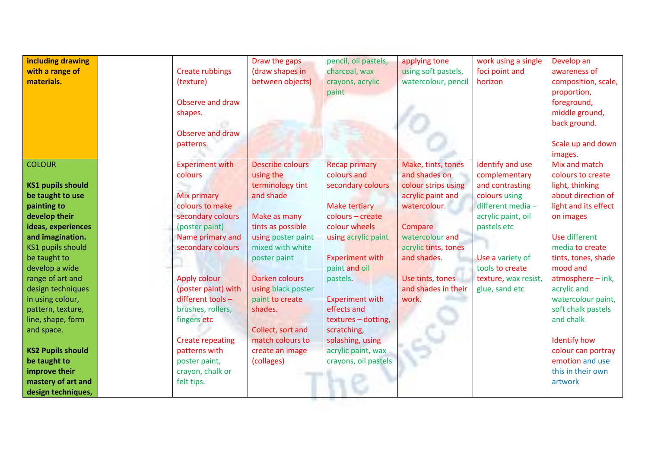| including drawing<br>with a range of<br>materials. | <b>Create rubbings</b><br>(texture)<br>Observe and draw<br>shapes.<br>Observe and draw<br>patterns. | Draw the gaps<br>(draw shapes in<br>between objects) | pencil, oil pastels,<br>charcoal, wax<br>crayons, acrylic<br>paint | applying tone<br>using soft pastels,<br>watercolour, pencil | work using a single<br>foci point and<br>horizon | Develop an<br>awareness of<br>composition, scale,<br>proportion,<br>foreground,<br>middle ground,<br>back ground.<br>Scale up and down<br>images. |
|----------------------------------------------------|-----------------------------------------------------------------------------------------------------|------------------------------------------------------|--------------------------------------------------------------------|-------------------------------------------------------------|--------------------------------------------------|---------------------------------------------------------------------------------------------------------------------------------------------------|
| <b>COLOUR</b>                                      | <b>Experiment with</b><br>colours                                                                   | <b>Describe colours</b><br>using the                 | <b>Recap primary</b><br>colours and                                | Make, tints, tones<br>and shades on                         | Identify and use<br>complementary                | Mix and match<br>colours to create                                                                                                                |
| <b>KS1 pupils should</b>                           |                                                                                                     | terminology tint                                     | secondary colours                                                  | colour strips using                                         | and contrasting                                  | light, thinking                                                                                                                                   |
| be taught to use                                   | <b>Mix primary</b>                                                                                  | and shade                                            |                                                                    | acrylic paint and                                           | colours using                                    | about direction of                                                                                                                                |
| painting to                                        | colours to make                                                                                     |                                                      | Make tertiary                                                      | watercolour.                                                | different media-                                 | light and its effect                                                                                                                              |
| develop their                                      | secondary colours                                                                                   | Make as many                                         | colours - create                                                   |                                                             | acrylic paint, oil                               | on images                                                                                                                                         |
| ideas, experiences                                 | (poster paint)                                                                                      | tints as possible                                    | colour wheels                                                      | Compare                                                     | pastels etc                                      |                                                                                                                                                   |
| and imagination.                                   | Name primary and                                                                                    | using poster paint                                   | using acrylic paint                                                | watercolour and                                             |                                                  | Use different                                                                                                                                     |
| <b>KS1 pupils should</b>                           | secondary colours                                                                                   | mixed with white                                     |                                                                    | acrylic tints, tones                                        |                                                  | media to create                                                                                                                                   |
| be taught to                                       |                                                                                                     | poster paint                                         | <b>Experiment with</b>                                             | and shades.                                                 | Use a variety of                                 | tints, tones, shade                                                                                                                               |
| develop a wide                                     |                                                                                                     |                                                      | paint and oil                                                      |                                                             | tools to create                                  | mood and                                                                                                                                          |
| range of art and                                   | <b>Apply colour</b>                                                                                 | Darken colours                                       | pastels.                                                           | Use tints, tones                                            | texture, wax resist,                             | atmosphere - ink,                                                                                                                                 |
| design techniques                                  | (poster paint) with                                                                                 | using black poster                                   |                                                                    | and shades in their                                         | glue, sand etc                                   | acrylic and                                                                                                                                       |
| in using colour,                                   | different tools -                                                                                   | paint to create                                      | <b>Experiment with</b>                                             | work.                                                       |                                                  | watercolour paint,                                                                                                                                |
| pattern, texture,                                  | brushes, rollers,                                                                                   | shades.                                              | effects and                                                        |                                                             |                                                  | soft chalk pastels                                                                                                                                |
| line, shape, form                                  | fingers etc                                                                                         |                                                      | textures - dotting,                                                |                                                             |                                                  | and chalk                                                                                                                                         |
| and space.                                         |                                                                                                     | Collect, sort and                                    | scratching,                                                        |                                                             |                                                  |                                                                                                                                                   |
|                                                    | <b>Create repeating</b>                                                                             | match colours to                                     | splashing, using                                                   |                                                             |                                                  | <b>Identify how</b>                                                                                                                               |
| <b>KS2 Pupils should</b>                           | patterns with                                                                                       | create an image                                      | acrylic paint, wax                                                 |                                                             |                                                  | colour can portray                                                                                                                                |
| be taught to                                       | poster paint,                                                                                       | (collages)                                           | crayons, oil pastels                                               |                                                             |                                                  | emotion and use                                                                                                                                   |
| improve their                                      | crayon, chalk or                                                                                    |                                                      |                                                                    |                                                             |                                                  | this in their own                                                                                                                                 |
| mastery of art and                                 | felt tips.                                                                                          |                                                      |                                                                    |                                                             |                                                  | artwork                                                                                                                                           |
| design techniques,                                 |                                                                                                     |                                                      |                                                                    |                                                             |                                                  |                                                                                                                                                   |
|                                                    |                                                                                                     |                                                      |                                                                    |                                                             |                                                  |                                                                                                                                                   |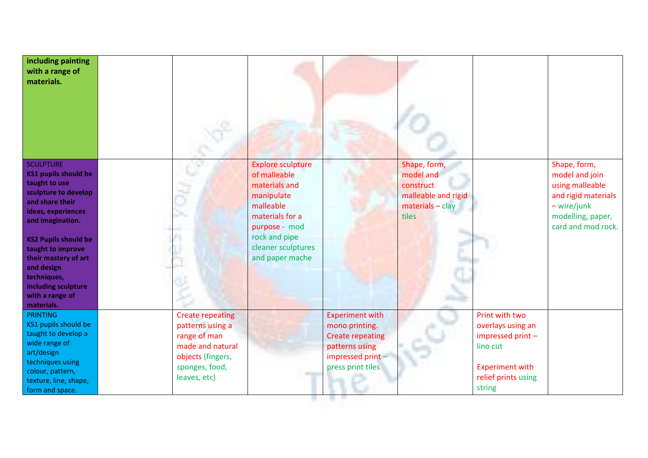| including painting<br>with a range of<br>materials.                                                                                                                                                                                                                                                                    |                                                                                                                                        |                                                                                                                                                                                    |                                                                                                                                |                                                                                              |                                                                                                                                 |                                                                                                                                    |
|------------------------------------------------------------------------------------------------------------------------------------------------------------------------------------------------------------------------------------------------------------------------------------------------------------------------|----------------------------------------------------------------------------------------------------------------------------------------|------------------------------------------------------------------------------------------------------------------------------------------------------------------------------------|--------------------------------------------------------------------------------------------------------------------------------|----------------------------------------------------------------------------------------------|---------------------------------------------------------------------------------------------------------------------------------|------------------------------------------------------------------------------------------------------------------------------------|
| <b>SCULPTURE</b><br><b>KS1 pupils should be</b><br>taught to use<br>sculpture to develop<br>and share their<br>ideas, experiences<br>and imagination.<br><b>KS2 Pupils should be</b><br>taught to improve<br>their mastery of art<br>and design<br>techniques,<br>including sculpture<br>with a range of<br>materials. |                                                                                                                                        | <b>Explore sculpture</b><br>of malleable<br>materials and<br>manipulate<br>malleable<br>materials for a<br>purpose - mod<br>rock and pipe<br>cleaner sculptures<br>and paper mache |                                                                                                                                | Shape, form,<br>model and<br>construct<br>malleable and rigid<br>$materials - clay$<br>tiles |                                                                                                                                 | Shape, form,<br>model and join<br>using malleable<br>and rigid materials<br>- wire/junk<br>modelling, paper,<br>card and mod rock. |
| <b>PRINTING</b><br>KS1 pupils should be<br>taught to develop a<br>wide range of<br>art/design<br>techniques using<br>colour, pattern,<br>texture, line, shape,<br>form and space.                                                                                                                                      | <b>Create repeating</b><br>patterns using a<br>range of man<br>made and natural<br>objects (fingers,<br>sponges, food,<br>leaves, etc) |                                                                                                                                                                                    | <b>Experiment with</b><br>mono printing.<br><b>Create repeating</b><br>patterns using<br>impressed print-<br>press print tiles |                                                                                              | Print with two<br>overlays using an<br>impressed print -<br>lino cut<br><b>Experiment with</b><br>relief prints using<br>string |                                                                                                                                    |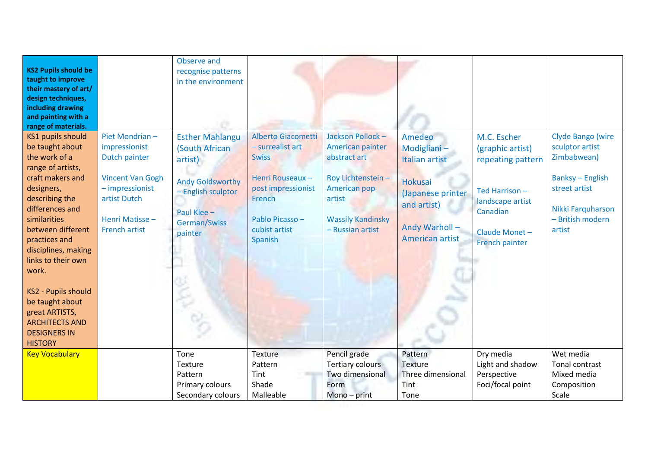| <b>KS2 Pupils should be</b><br>taught to improve<br>their mastery of art/<br>design techniques,<br>including drawing<br>and painting with a<br>range of materials.<br><b>KS1 pupils should</b><br>be taught about<br>the work of a<br>range of artists,<br>craft makers and<br>designers,<br>describing the<br>differences and<br>similarities<br>between different<br>practices and<br>disciplines, making<br>links to their own<br>work.<br><b>KS2 - Pupils should</b><br>be taught about<br>great ARTISTS,<br><b>ARCHITECTS AND</b><br><b>DESIGNERS IN</b> | Piet Mondrian-<br>impressionist<br>Dutch painter<br><b>Vincent Van Gogh</b><br>$-$ impressionist<br>artist Dutch<br>Henri Matisse-<br><b>French artist</b> | Observe and<br>recognise patterns<br>in the environment<br><b>Esther Mahlangu</b><br>(South African<br>artist)<br><b>Andy Goldsworthy</b><br>- English sculptor<br>Paul Klee -<br>German/Swiss<br>painter | Alberto Giacometti<br>- surrealist art<br><b>Swiss</b><br>Henri Rouseaux -<br>post impressionist<br>French<br>Pablo Picasso-<br>cubist artist<br>Spanish | Jackson Pollock -<br>American painter<br>abstract art<br>Roy Lichtenstein-<br>American pop<br>artist<br><b>Wassily Kandinsky</b><br>- Russian artist | Amedeo<br>Modigliani-<br>Italian artist<br><b>Hokusai</b><br>(Japanese printer<br>and artist)<br>Andy Warholl-<br>American artist | M.C. Escher<br>(graphic artist)<br>repeating pattern<br>Ted Harrison-<br>landscape artist<br>Canadian<br>Claude Monet -<br>French painter | Clyde Bango (wire<br>sculptor artist<br>Zimbabwean)<br><b>Banksy - English</b><br>street artist<br>Nikki Farquharson<br>- British modern<br>artist |
|---------------------------------------------------------------------------------------------------------------------------------------------------------------------------------------------------------------------------------------------------------------------------------------------------------------------------------------------------------------------------------------------------------------------------------------------------------------------------------------------------------------------------------------------------------------|------------------------------------------------------------------------------------------------------------------------------------------------------------|-----------------------------------------------------------------------------------------------------------------------------------------------------------------------------------------------------------|----------------------------------------------------------------------------------------------------------------------------------------------------------|------------------------------------------------------------------------------------------------------------------------------------------------------|-----------------------------------------------------------------------------------------------------------------------------------|-------------------------------------------------------------------------------------------------------------------------------------------|----------------------------------------------------------------------------------------------------------------------------------------------------|
| <b>HISTORY</b>                                                                                                                                                                                                                                                                                                                                                                                                                                                                                                                                                |                                                                                                                                                            |                                                                                                                                                                                                           |                                                                                                                                                          |                                                                                                                                                      |                                                                                                                                   |                                                                                                                                           |                                                                                                                                                    |
| <b>Key Vocabulary</b>                                                                                                                                                                                                                                                                                                                                                                                                                                                                                                                                         |                                                                                                                                                            | Tone<br>Texture<br>Pattern<br>Primary colours<br>Secondary colours                                                                                                                                        | Texture<br>Pattern<br>Tint<br>Shade<br>Malleable                                                                                                         | Pencil grade<br><b>Tertiary colours</b><br>Two dimensional<br>Form<br>Mono-print                                                                     | Pattern<br><b>Texture</b><br>Three dimensional<br>Tint<br>Tone                                                                    | Dry media<br>Light and shadow<br>Perspective<br>Foci/focal point                                                                          | Wet media<br>Tonal contrast<br>Mixed media<br>Composition<br>Scale                                                                                 |